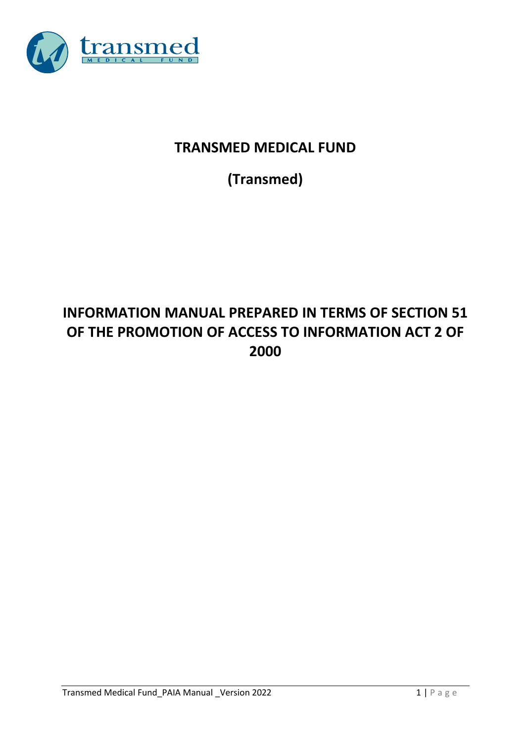

# **TRANSMED MEDICAL FUND**

**(Transmed)**

# **INFORMATION MANUAL PREPARED IN TERMS OF SECTION 51 OF THE PROMOTION OF ACCESS TO INFORMATION ACT 2 OF 2000**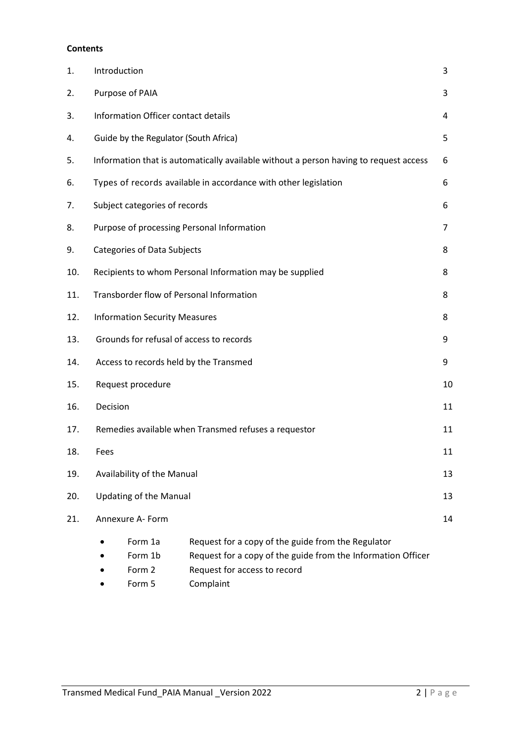#### **Contents**

| 1.  | Introduction                                                                          |                                                                                                                                                    |    |  |  |  |  |  |
|-----|---------------------------------------------------------------------------------------|----------------------------------------------------------------------------------------------------------------------------------------------------|----|--|--|--|--|--|
| 2.  | Purpose of PAIA                                                                       |                                                                                                                                                    | 3  |  |  |  |  |  |
| 3.  | Information Officer contact details                                                   |                                                                                                                                                    | 4  |  |  |  |  |  |
| 4.  | Guide by the Regulator (South Africa)                                                 |                                                                                                                                                    |    |  |  |  |  |  |
| 5.  | Information that is automatically available without a person having to request access |                                                                                                                                                    |    |  |  |  |  |  |
| 6.  |                                                                                       | Types of records available in accordance with other legislation                                                                                    | 6  |  |  |  |  |  |
| 7.  | Subject categories of records                                                         |                                                                                                                                                    | 6  |  |  |  |  |  |
| 8.  | Purpose of processing Personal Information                                            |                                                                                                                                                    | 7  |  |  |  |  |  |
| 9.  | <b>Categories of Data Subjects</b>                                                    |                                                                                                                                                    | 8  |  |  |  |  |  |
| 10. |                                                                                       | Recipients to whom Personal Information may be supplied                                                                                            | 8  |  |  |  |  |  |
| 11. | Transborder flow of Personal Information                                              |                                                                                                                                                    | 8  |  |  |  |  |  |
| 12. | <b>Information Security Measures</b>                                                  |                                                                                                                                                    | 8  |  |  |  |  |  |
| 13. | Grounds for refusal of access to records                                              |                                                                                                                                                    | 9  |  |  |  |  |  |
| 14. | Access to records held by the Transmed                                                |                                                                                                                                                    | 9  |  |  |  |  |  |
| 15. | Request procedure                                                                     |                                                                                                                                                    | 10 |  |  |  |  |  |
| 16. | Decision                                                                              |                                                                                                                                                    | 11 |  |  |  |  |  |
| 17. |                                                                                       | Remedies available when Transmed refuses a requestor                                                                                               | 11 |  |  |  |  |  |
| 18. | Fees                                                                                  |                                                                                                                                                    | 11 |  |  |  |  |  |
| 19. | Availability of the Manual                                                            |                                                                                                                                                    | 13 |  |  |  |  |  |
| 20. | <b>Updating of the Manual</b><br>13                                                   |                                                                                                                                                    |    |  |  |  |  |  |
| 21. | Annexure A- Form                                                                      |                                                                                                                                                    | 14 |  |  |  |  |  |
|     | Form 1a<br>Form 1b<br>Form 2                                                          | Request for a copy of the guide from the Regulator<br>Request for a copy of the guide from the Information Officer<br>Request for access to record |    |  |  |  |  |  |

• Form 5 Complaint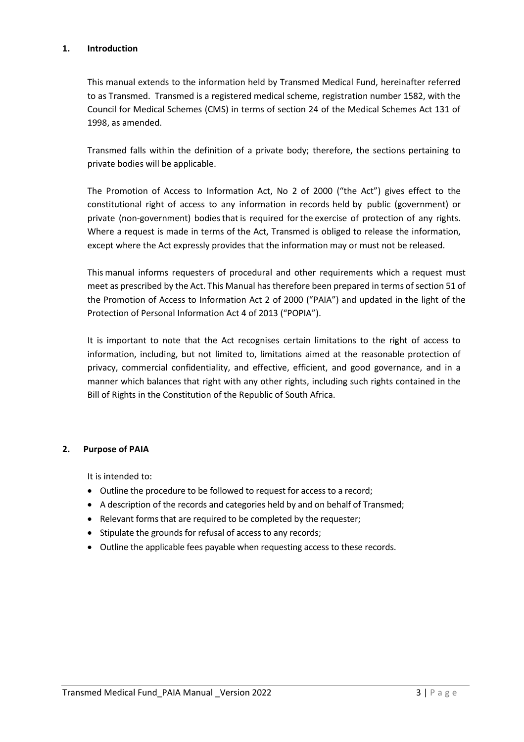#### **1. Introduction**

This manual extends to the information held by Transmed Medical Fund, hereinafter referred to as Transmed. Transmed is a registered medical scheme, registration number 1582, with the Council for Medical Schemes (CMS) in terms of section 24 of the Medical Schemes Act 131 of 1998, as amended.

Transmed falls within the definition of a private body; therefore, the sections pertaining to private bodies will be applicable.

The Promotion of Access to Information Act, No 2 of 2000 ("the Act") gives effect to the constitutional right of access to any information in records held by public (government) or private (non-government) bodies that is required for the exercise of protection of any rights. Where a request is made in terms of the Act, Transmed is obliged to release the information, except where the Act expressly provides that the information may or must not be released.

This manual informs requesters of procedural and other requirements which a request must meet as prescribed by the Act. This Manual has therefore been prepared in terms of section 51 of the Promotion of Access to Information Act 2 of 2000 ("PAIA") and updated in the light of the Protection of Personal Information Act 4 of 2013 ("POPIA").

It is important to note that the Act recognises certain limitations to the right of access to information, including, but not limited to, limitations aimed at the reasonable protection of privacy, commercial confidentiality, and effective, efficient, and good governance, and in a manner which balances that right with any other rights, including such rights contained in the Bill of Rights in the Constitution of the Republic of South Africa.

#### **2. Purpose of PAIA**

It is intended to:

- Outline the procedure to be followed to request for access to a record;
- A description of the records and categories held by and on behalf of Transmed;
- Relevant forms that are required to be completed by the requester;
- Stipulate the grounds for refusal of access to any records;
- Outline the applicable fees payable when requesting access to these records.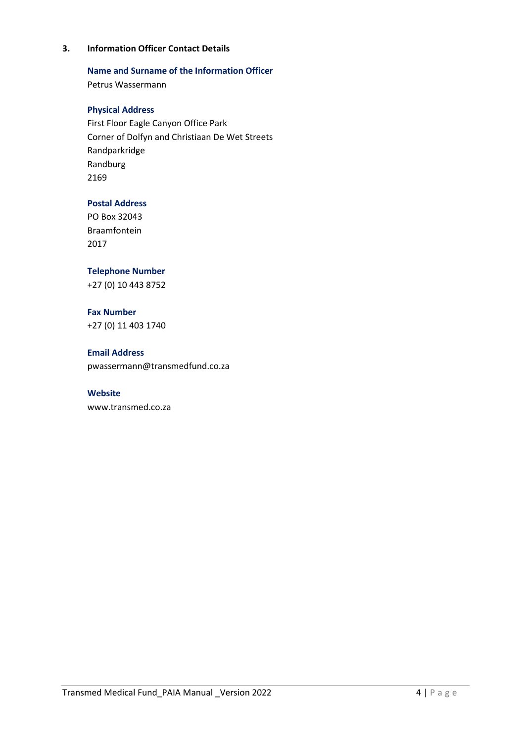#### **3. Information Officer Contact Details**

#### **Name and Surname of the Information Officer**

Petrus Wassermann

#### **Physical Address**

First Floor Eagle Canyon Office Park Corner of Dolfyn and Christiaan De Wet Streets Randparkridge Randburg 2169

#### **Postal Address**

PO Box 32043 Braamfontein 2017

#### **Telephone Number**

+27 (0) 10 443 8752

#### **Fax Number** +27 (0) 11 403 1740

**Email Address** [pwassermann@transmedfund.co.za](mailto:pwassermann@transmedfund.co.za)

#### **Website**

www.transmed.co.za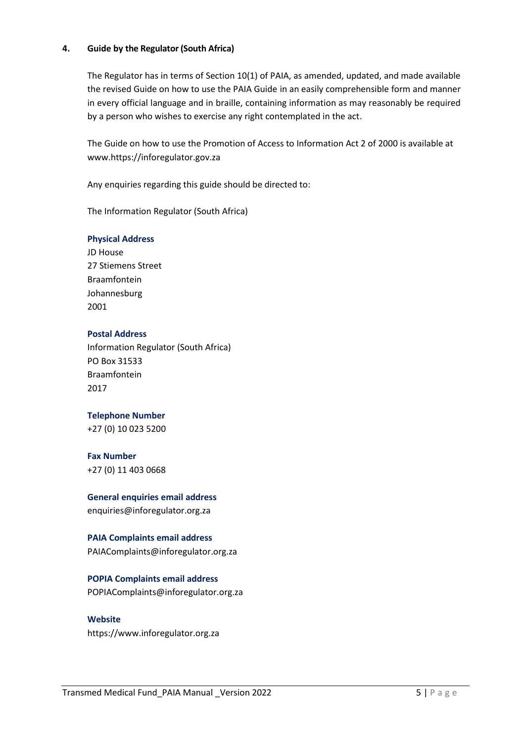#### **4. Guide by the Regulator (South Africa)**

The Regulator has in terms of Section 10(1) of PAIA, as amended, updated, and made available the revised Guide on how to use the PAIA Guide in an easily comprehensible form and manner in every official language and in braille, containing information as may reasonably be required by a person who wishes to exercise any right contemplated in the act.

The Guide on how to use the Promotion of Access to Information Act 2 of 2000 is available at [www.https://inforegulator.gov.za](http://www.justice.gov.za/)

Any enquiries regarding this guide should be directed to:

The Information Regulator (South Africa)

#### **Physical Address**

JD House 27 Stiemens Street Braamfontein Johannesburg 2001

#### **Postal Address**

Information Regulator (South Africa) PO Box 31533 Braamfontein 2017

#### **Telephone Number**

+27 (0) 10 023 5200

#### **Fax Number**

+27 (0) 11 403 0668

#### **General enquiries email address** [enquiries@inforegulator.org.za](mailto:enquiries@inforegulator.org.za)

# **PAIA Complaints email address**

PAIAComplaints@inforegulator.org.za

#### **POPIA Complaints email address**

[POPIAComplaints@inforegulator.org.za](mailto:POPIAComplaints@inforegulator.org.za)

#### **Website**

[https://www.inforegulator.org.za](https://www.inforegulator.org.za/)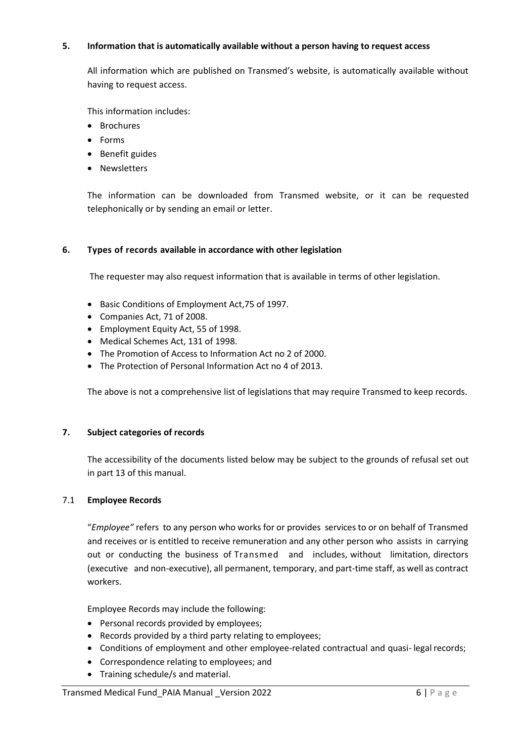#### **5. Information that is automatically available without a person having to request access**

All information which are published on Transmed's website, is automatically available without having to request access.

This information includes:

- Brochures
- Forms
- Benefit guides
- Newsletters

The information can be downloaded from Transmed website, or it can be requested telephonically or by sending an email or letter.

#### **6. Types of records available in accordance with other legislation**

The requester may also request information that is available in terms of other legislation.

- Basic Conditions of Employment Act,75 of 1997.
- Companies Act, 71 of 2008.
- Employment Equity Act, 55 of 1998.
- Medical Schemes Act, 131 of 1998.
- The Promotion of Access to Information Act no 2 of 2000.
- The Protection of Personal Information Act no 4 of 2013.

The above is not a comprehensive list of legislations that may require Transmed to keep records.

#### **7. Subject categories of records**

The accessibility of the documents listed below may be subject to the grounds of refusal set out in part 13 of this manual.

#### 7.1 **Employee Records**

"*Employee"* refers to any person who works for or provides services to or on behalf of Transmed and receives or is entitled to receive remuneration and any other person who assists in carrying out or conducting the business of Transmed and includes, without limitation, directors (executive and non-executive), all permanent, temporary, and part-time staff, as well as contract workers.

Employee Records may include the following:

- Personal records provided by employees;
- Records provided by a third party relating to employees;
- Conditions of employment and other employee-related contractual and quasi-legal records;
- Correspondence relating to employees; and
- Training schedule/s and material.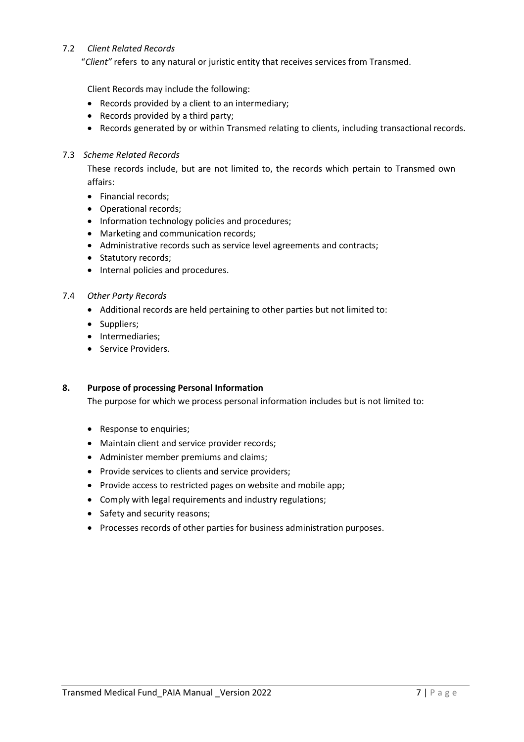#### 7.2 *Client Related Records*

"*Client"* refers to any natural or juristic entity that receives services from Transmed.

Client Records may include the following:

- Records provided by a client to an intermediary;
- Records provided by a third party;
- Records generated by or within Transmed relating to clients, including transactional records.

#### 7.3 *Scheme Related Records*

These records include, but are not limited to, the records which pertain to Transmed own affairs:

- Financial records;
- Operational records;
- Information technology policies and procedures;
- Marketing and communication records;
- Administrative records such as service level agreements and contracts;
- Statutory records;
- Internal policies and procedures.

#### 7.4 *Other Party Records*

- Additional records are held pertaining to other parties but not limited to:
- Suppliers;
- Intermediaries;
- Service Providers.

#### **8. Purpose of processing Personal Information**

The purpose for which we process personal information includes but is not limited to:

- Response to enquiries;
- Maintain client and service provider records;
- Administer member premiums and claims;
- Provide services to clients and service providers;
- Provide access to restricted pages on website and mobile app;
- Comply with legal requirements and industry regulations;
- Safety and security reasons;
- Processes records of other parties for business administration purposes.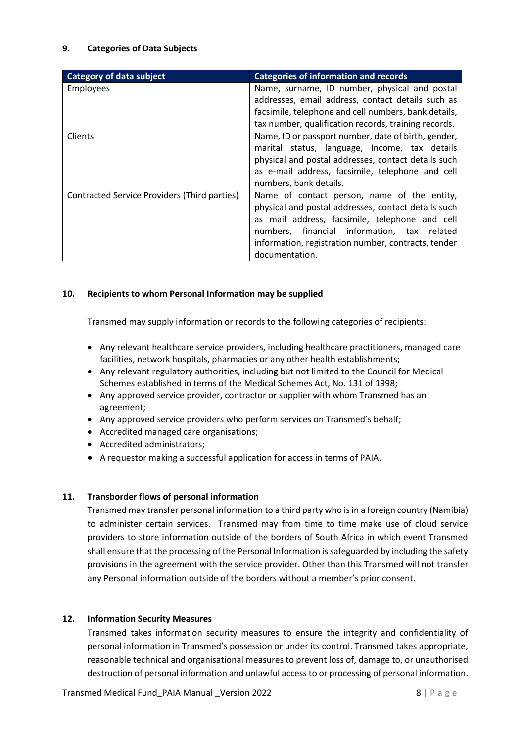#### **9. Categories of Data Subjects**

| <b>Category of data subject</b>              | <b>Categories of information and records</b>         |
|----------------------------------------------|------------------------------------------------------|
| <b>Employees</b>                             | Name, surname, ID number, physical and postal        |
|                                              | addresses, email address, contact details such as    |
|                                              | facsimile, telephone and cell numbers, bank details, |
|                                              | tax number, qualification records, training records. |
| <b>Clients</b>                               | Name, ID or passport number, date of birth, gender,  |
|                                              | marital status, language, Income, tax details        |
|                                              | physical and postal addresses, contact details such  |
|                                              | as e-mail address, facsimile, telephone and cell     |
|                                              | numbers, bank details.                               |
| Contracted Service Providers (Third parties) | Name of contact person, name of the entity,          |
|                                              | physical and postal addresses, contact details such  |
|                                              | as mail address, facsimile, telephone and cell       |
|                                              | numbers, financial information, tax related          |
|                                              | information, registration number, contracts, tender  |
|                                              | documentation.                                       |

#### **10. Recipients to whom Personal Information may be supplied**

Transmed may supply information or records to the following categories of recipients:

- Any relevant healthcare service providers, including healthcare practitioners, managed care facilities, network hospitals, pharmacies or any other health establishments;
- Any relevant regulatory authorities, including but not limited to the Council for Medical Schemes established in terms of the Medical Schemes Act, No. 131 of 1998;
- Any approved service provider, contractor or supplier with whom Transmed has an agreement;
- Any approved service providers who perform services on Transmed's behalf;
- Accredited managed care organisations;
- Accredited administrators;
- A requestor making a successful application for access in terms of PAIA.

#### **11. Transborder flows of personal information**

Transmed may transfer personal information to a third party who is in a foreign country (Namibia) to administer certain services. Transmed may from time to time make use of cloud service providers to store information outside of the borders of South Africa in which event Transmed shall ensure that the processing of the Personal Information is safeguarded by including the safety provisions in the agreement with the service provider. Other than this Transmed will not transfer any Personal information outside of the borders without a member's prior consent.

#### **12. Information Security Measures**

Transmed takes information security measures to ensure the integrity and confidentiality of personal information in Transmed's possession or under its control. Transmed takes appropriate, reasonable technical and organisational measures to prevent loss of, damage to, or unauthorised destruction of personal information and unlawful access to or processing of personal information.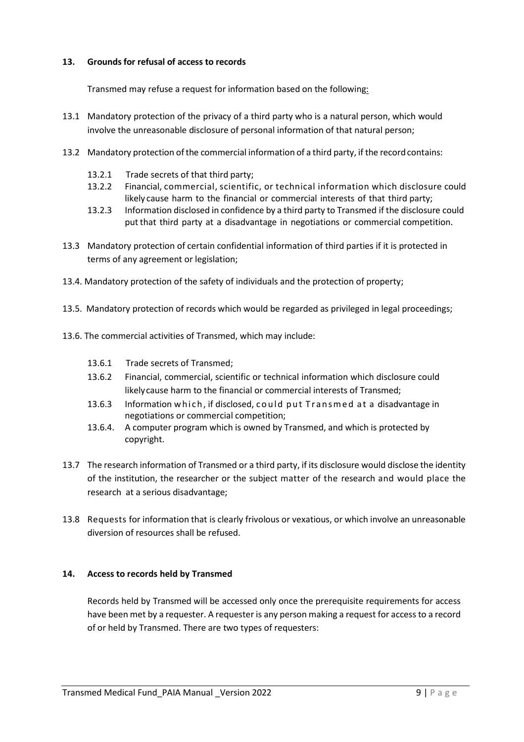#### **13. Groundsfor refusal of access to records**

Transmed may refuse a request for information based on the following:

- 13.1 Mandatory protection of the privacy of a third party who is a natural person, which would involve the unreasonable disclosure of personal information of that natural person;
- 13.2 Mandatory protection ofthe commercial information of a third party, if the recordcontains:
	- 13.2.1 Trade secrets of that third party;
	- 13.2.2 Financial, commercial, scientific, or technical information which disclosure could likely cause harm to the financial or commercial interests of that third party;
	- 13.2.3 Information disclosed in confidence by a third party to Transmed if the disclosure could put that third party at a disadvantage in negotiations or commercial competition.
- 13.3 Mandatory protection of certain confidential information of third parties if it is protected in terms of any agreement or legislation;
- 13.4. Mandatory protection of the safety of individuals and the protection of property;
- 13.5. Mandatory protection of records which would be regarded as privileged in legal proceedings;
- 13.6. The commercial activities of Transmed, which may include:
	- 13.6.1 Trade secrets of Transmed;
	- 13.6.2 Financial, commercial, scientific or technical information which disclosure could likelycause harm to the financial or commercial interests of Transmed;
	- 13.6.3 Information which, if disclosed, could put Transmed at a disadvantage in negotiations or commercial competition;
	- 13.6.4. A computer program which is owned by Transmed, and which is protected by copyright.
- 13.7 The research information of Transmed or a third party, if its disclosure would disclose the identity of the institution, the researcher or the subject matter of the research and would place the research at a serious disadvantage;
- 13.8 Requests for information that is clearly frivolous or vexatious, or which involve an unreasonable diversion of resources shall be refused.

#### **14. Access to records held by Transmed**

Records held by Transmed will be accessed only once the prerequisite requirements for access have been met by a requester. A requester is any person making a request for access to a record of or held by Transmed. There are two types of requesters: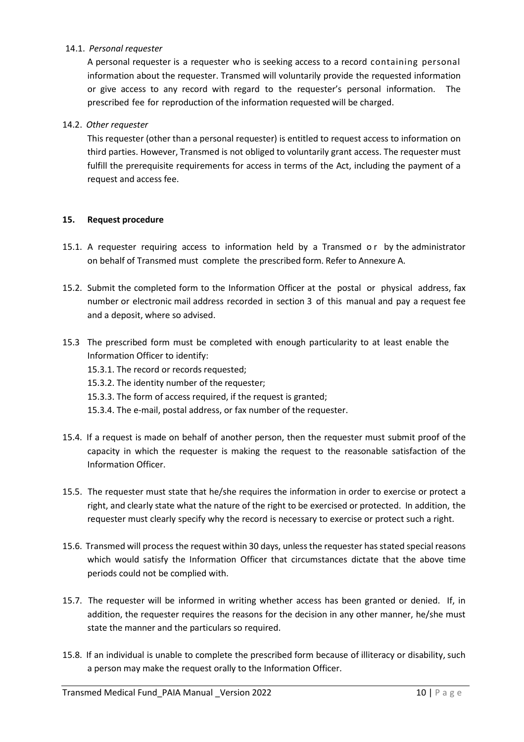#### 14.1. *Personal requester*

A personal requester is a requester who is seeking access to a record containing personal information about the requester. Transmed will voluntarily provide the requested information or give access to any record with regard to the requester's personal information. The prescribed fee for reproduction of the information requested will be charged.

#### 14.2. *Other requester*

This requester (other than a personal requester) is entitled to request access to information on third parties. However, Transmed is not obliged to voluntarily grant access. The requester must fulfill the prerequisite requirements for access in terms of the Act, including the payment of a request and access fee.

#### **15. Request procedure**

- 15.1. A requester requiring access to information held by a Transmed or by the administrator on behalf of Transmed must complete the prescribed form. Refer to Annexure A.
- 15.2. Submit the completed form to the Information Officer at the postal or physical address, fax number or electronic mail address recorded in section 3 of this manual and pay a request fee and a deposit, where so advised.
- 15.3 The prescribed form must be completed with enough particularity to at least enable the Information Officer to identify:
	- 15.3.1. The record or records requested;
	- 15.3.2. The identity number of the requester;
	- 15.3.3. The form of access required, if the request is granted;
	- 15.3.4. The e-mail, postal address, or fax number of the requester.
- 15.4. If a request is made on behalf of another person, then the requester must submit proof of the capacity in which the requester is making the request to the reasonable satisfaction of the Information Officer.
- 15.5. The requester must state that he/she requires the information in order to exercise or protect a right, and clearly state what the nature of the right to be exercised or protected. In addition, the requester must clearly specify why the record is necessary to exercise or protect such a right.
- 15.6. Transmed will process the request within 30 days, unless the requester has stated special reasons which would satisfy the Information Officer that circumstances dictate that the above time periods could not be complied with.
- 15.7. The requester will be informed in writing whether access has been granted or denied. If, in addition, the requester requires the reasons for the decision in any other manner, he/she must state the manner and the particulars so required.
- 15.8. If an individual is unable to complete the prescribed form because of illiteracy or disability, such a person may make the request orally to the Information Officer.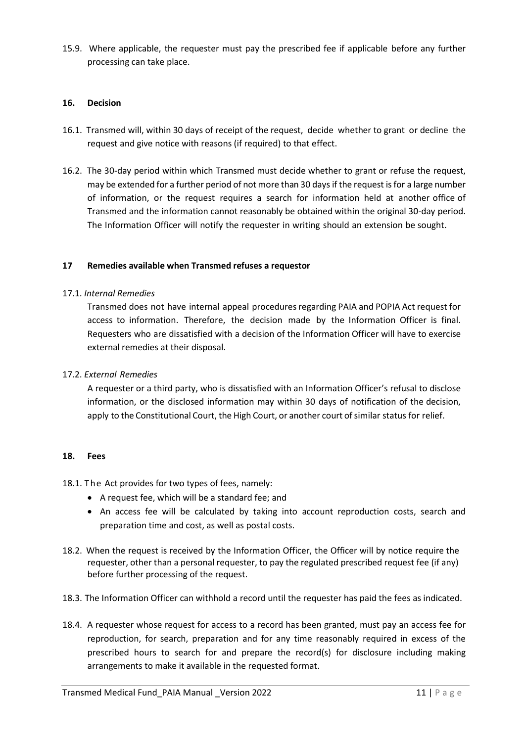15.9. Where applicable, the requester must pay the prescribed fee if applicable before any further processing can take place.

#### **16. Decision**

- 16.1. Transmed will, within 30 days of receipt of the request, decide whether to grant or decline the request and give notice with reasons (if required) to that effect.
- 16.2. The 30-day period within which Transmed must decide whether to grant or refuse the request, may be extended for a further period of not more than 30 daysif the request isfor a large number of information, or the request requires a search for information held at another office of Transmed and the information cannot reasonably be obtained within the original 30-day period. The Information Officer will notify the requester in writing should an extension be sought.

#### **17 Remedies available when Transmed refuses a requestor**

#### 17.1. *Internal Remedies*

Transmed does not have internal appeal proceduresregarding PAIA and POPIA Act request for access to information. Therefore, the decision made by the Information Officer is final. Requesters who are dissatisfied with a decision of the Information Officer will have to exercise external remedies at their disposal.

#### 17.2. *External Remedies*

A requester or a third party, who is dissatisfied with an Information Officer's refusal to disclose information, or the disclosed information may within 30 days of notification of the decision, apply to the Constitutional Court, the High Court, or another court of similar status for relief.

#### **18. Fees**

#### 18.1. The Act provides for two types of fees, namely:

- A request fee, which will be a standard fee; and
- An access fee will be calculated by taking into account reproduction costs, search and preparation time and cost, as well as postal costs.
- 18.2. When the request is received by the Information Officer, the Officer will by notice require the requester, other than a personal requester, to pay the regulated prescribed request fee (if any) before further processing of the request.
- 18.3. The Information Officer can withhold a record until the requester has paid the fees as indicated.
- 18.4. A requester whose request for access to a record has been granted, must pay an access fee for reproduction, for search, preparation and for any time reasonably required in excess of the prescribed hours to search for and prepare the record(s) for disclosure including making arrangements to make it available in the requested format.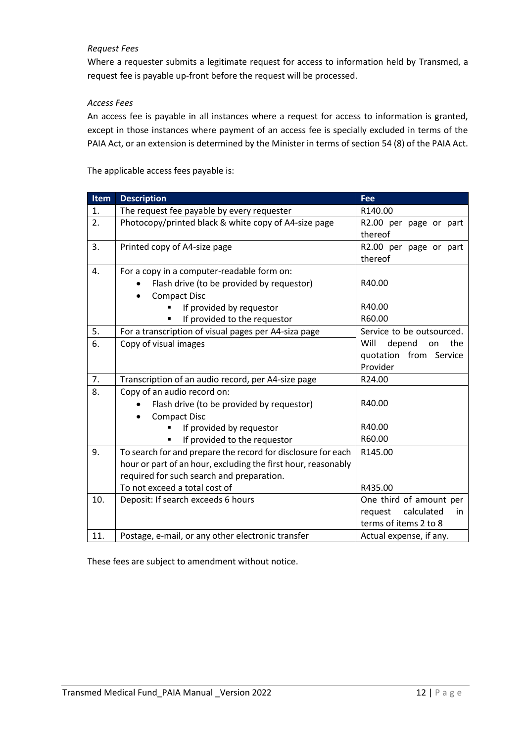#### *Request Fees*

Where a requester submits a legitimate request for access to information held by Transmed, a request fee is payable up-front before the request will be processed.

#### *Access Fees*

An access fee is payable in all instances where a request for access to information is granted, except in those instances where payment of an access fee is specially excluded in terms of the PAIA Act, or an extension is determined by the Minister in terms of section 54 (8) of the PAIA Act.

The applicable access fees payable is:

| <b>Item</b> | <b>Description</b>                                            | <b>Fee</b>                  |
|-------------|---------------------------------------------------------------|-----------------------------|
| 1.          | The request fee payable by every requester                    | R140.00                     |
| 2.          | Photocopy/printed black & white copy of A4-size page          | R2.00 per page or part      |
|             |                                                               | thereof                     |
| 3.          | Printed copy of A4-size page                                  | R2.00 per page or part      |
|             |                                                               | thereof                     |
| 4.          | For a copy in a computer-readable form on:                    |                             |
|             | Flash drive (to be provided by requestor)                     | R40.00                      |
|             | <b>Compact Disc</b><br>$\bullet$                              |                             |
|             | If provided by requestor                                      | R40.00                      |
|             | If provided to the requestor                                  | R60.00                      |
| 5.          | For a transcription of visual pages per A4-siza page          | Service to be outsourced.   |
| 6.          | Copy of visual images                                         | Will<br>depend<br>the<br>on |
|             |                                                               | quotation from Service      |
|             |                                                               | Provider                    |
| 7.          | Transcription of an audio record, per A4-size page            | R24.00                      |
| 8.          | Copy of an audio record on:                                   |                             |
|             | Flash drive (to be provided by requestor)                     | R40.00                      |
|             | <b>Compact Disc</b><br>$\bullet$                              |                             |
|             | If provided by requestor                                      | R40.00                      |
|             | If provided to the requestor                                  | R60.00                      |
| 9.          | To search for and prepare the record for disclosure for each  | R145.00                     |
|             | hour or part of an hour, excluding the first hour, reasonably |                             |
|             | required for such search and preparation.                     |                             |
|             | To not exceed a total cost of                                 | R435.00                     |
| 10.         | Deposit: If search exceeds 6 hours                            | One third of amount per     |
|             |                                                               | calculated<br>request<br>in |
|             |                                                               | terms of items 2 to 8       |
| 11.         | Postage, e-mail, or any other electronic transfer             | Actual expense, if any.     |

These fees are subject to amendment without notice.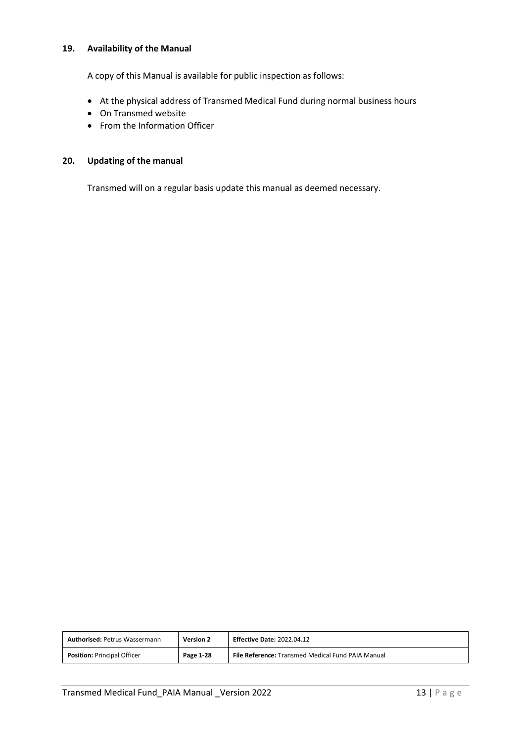#### **19. Availability of the Manual**

A copy of this Manual is available for public inspection as follows:

- At the physical address of Transmed Medical Fund during normal business hours
- On Transmed website
- From the Information Officer

#### **20. Updating of the manual**

Transmed will on a regular basis update this manual as deemed necessary.

| <b>Authorised: Petrus Wassermann</b> | <b>Version 2</b> | <b>Effective Date: 2022.04.12</b>                        |
|--------------------------------------|------------------|----------------------------------------------------------|
| <b>Position: Principal Officer</b>   | Page 1-28        | <b>File Reference:</b> Transmed Medical Fund PAIA Manual |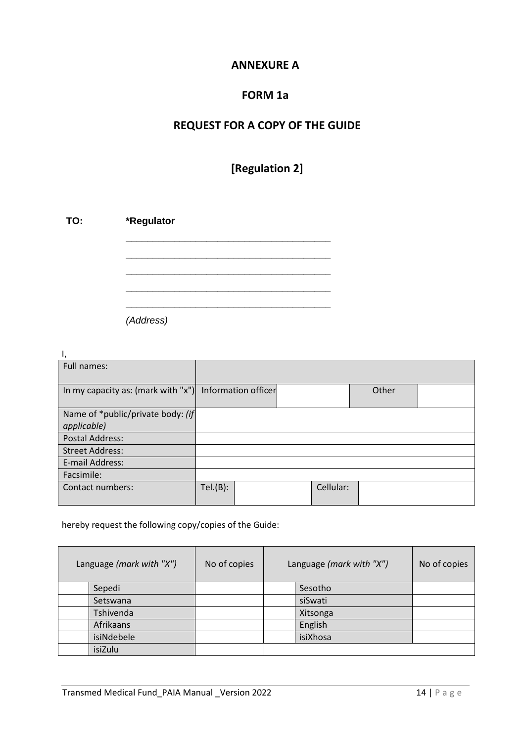## **ANNEXURE A**

## **FORM 1a**

# **REQUEST FOR A COPY OF THE GUIDE**

# **[Regulation 2]**

| TO: | *Regulator |  |  |  |  |  |  |
|-----|------------|--|--|--|--|--|--|
|     |            |  |  |  |  |  |  |
|     |            |  |  |  |  |  |  |
|     |            |  |  |  |  |  |  |
|     |            |  |  |  |  |  |  |

*(Address)*

| ι,                                                     |         |  |           |       |  |
|--------------------------------------------------------|---------|--|-----------|-------|--|
| Full names:                                            |         |  |           |       |  |
| In my capacity as: (mark with "x") Information officer |         |  |           | Other |  |
| Name of *public/private body: (if                      |         |  |           |       |  |
| applicable)                                            |         |  |           |       |  |
| <b>Postal Address:</b>                                 |         |  |           |       |  |
| <b>Street Address:</b>                                 |         |  |           |       |  |
| E-mail Address:                                        |         |  |           |       |  |
| Facsimile:                                             |         |  |           |       |  |
| Contact numbers:                                       | Tel(B): |  | Cellular: |       |  |

### hereby request the following copy/copies of the Guide:

| Language (mark with "X") | No of copies | Language (mark with "X") | No of copies |
|--------------------------|--------------|--------------------------|--------------|
| Sepedi                   |              | Sesotho                  |              |
| Setswana                 |              | siSwati                  |              |
| Tshivenda                |              | Xitsonga                 |              |
| Afrikaans                |              | English                  |              |
| isiNdebele               |              | isiXhosa                 |              |
| isiZulu                  |              |                          |              |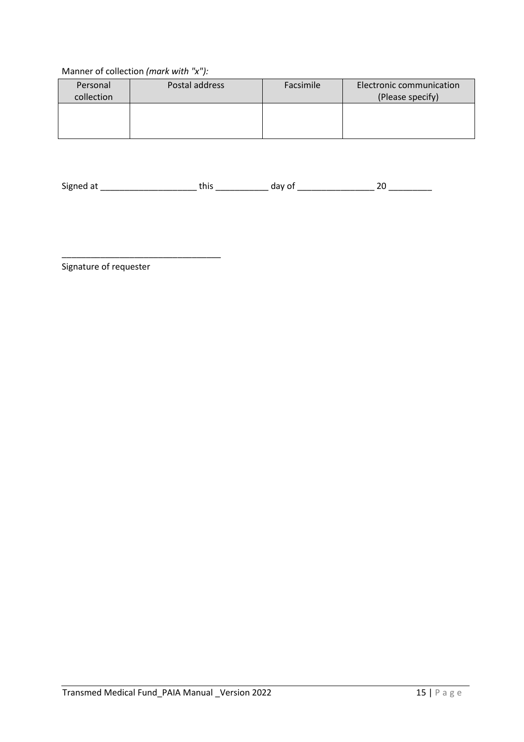### Manner of collection *(mark with "x"):*

| Personal<br>collection | Postal address | Facsimile | Electronic communication<br>(Please specify) |
|------------------------|----------------|-----------|----------------------------------------------|
|                        |                |           |                                              |

Signed at \_\_\_\_\_\_\_\_\_\_\_\_\_\_\_\_\_\_\_\_ this \_\_\_\_\_\_\_\_\_\_\_ day of \_\_\_\_\_\_\_\_\_\_\_\_\_\_\_\_ 20 \_\_\_\_\_\_\_\_\_

Signature of requester

\_\_\_\_\_\_\_\_\_\_\_\_\_\_\_\_\_\_\_\_\_\_\_\_\_\_\_\_\_\_\_\_\_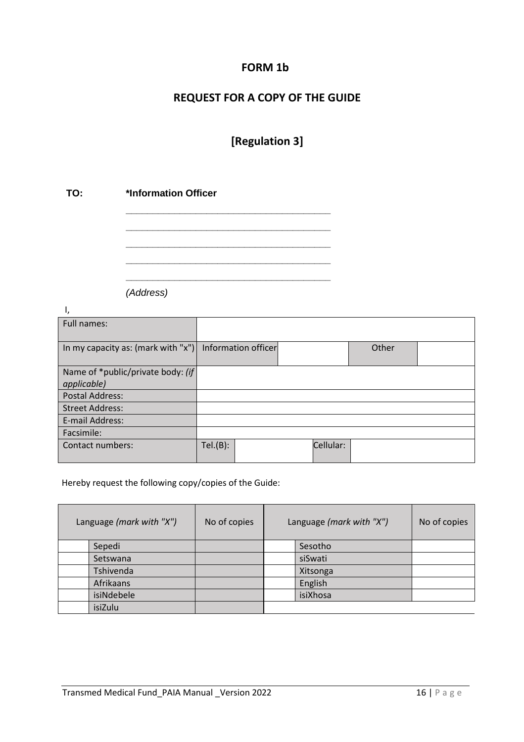# **FORM 1b**

# **REQUEST FOR A COPY OF THE GUIDE**

# **[Regulation 3]**

**\_\_\_\_\_\_\_\_\_\_\_\_\_\_\_\_\_\_\_\_\_\_\_\_\_\_\_\_\_\_\_\_\_\_\_\_\_\_ \_\_\_\_\_\_\_\_\_\_\_\_\_\_\_\_\_\_\_\_\_\_\_\_\_\_\_\_\_\_\_\_\_\_\_\_\_\_ \_\_\_\_\_\_\_\_\_\_\_\_\_\_\_\_\_\_\_\_\_\_\_\_\_\_\_\_\_\_\_\_\_\_\_\_\_\_ \_\_\_\_\_\_\_\_\_\_\_\_\_\_\_\_\_\_\_\_\_\_\_\_\_\_\_\_\_\_\_\_\_\_\_\_\_\_ \_\_\_\_\_\_\_\_\_\_\_\_\_\_\_\_\_\_\_\_\_\_\_\_\_\_\_\_\_\_\_\_\_\_\_\_\_\_**

## **TO: \*Information Officer**

*(Address)*

I,

| Full names:                        |                     |           |       |  |
|------------------------------------|---------------------|-----------|-------|--|
|                                    |                     |           |       |  |
| In my capacity as: (mark with "x") | Information officer |           | Other |  |
|                                    |                     |           |       |  |
| Name of *public/private body: (if  |                     |           |       |  |
| <i>applicable</i> )                |                     |           |       |  |
| <b>Postal Address:</b>             |                     |           |       |  |
| <b>Street Address:</b>             |                     |           |       |  |
| E-mail Address:                    |                     |           |       |  |
| Facsimile:                         |                     |           |       |  |
| Contact numbers:                   | Tel(B):             | Cellular: |       |  |
|                                    |                     |           |       |  |

Hereby request the following copy/copies of the Guide:

| Language (mark with "X") |            | No of copies | Language (mark with "X") |         | No of copies |
|--------------------------|------------|--------------|--------------------------|---------|--------------|
|                          | Sepedi     |              |                          | Sesotho |              |
|                          | Setswana   |              |                          | siSwati |              |
|                          | Tshivenda  |              | Xitsonga                 |         |              |
|                          | Afrikaans  |              |                          | English |              |
|                          | isiNdebele |              | isiXhosa                 |         |              |
|                          | isiZulu    |              |                          |         |              |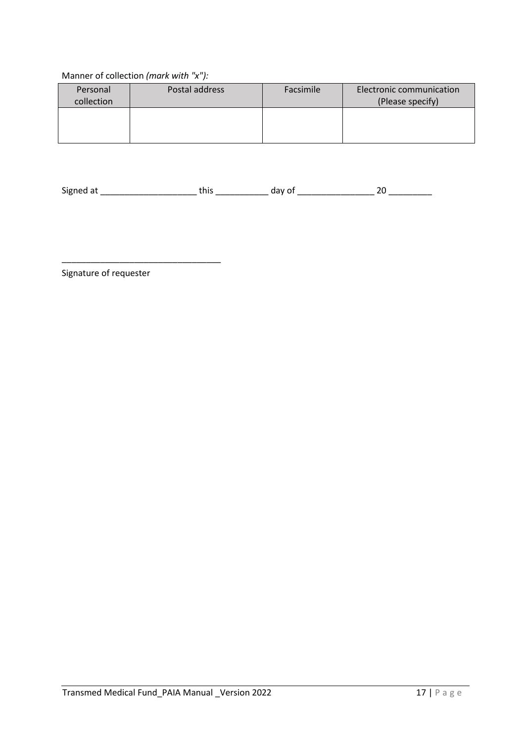### Manner of collection *(mark with "x"):*

| Personal<br>collection | Postal address | Facsimile | <b>Electronic communication</b><br>(Please specify) |
|------------------------|----------------|-----------|-----------------------------------------------------|
|                        |                |           |                                                     |

Signed at \_\_\_\_\_\_\_\_\_\_\_\_\_\_\_\_\_\_\_\_ this \_\_\_\_\_\_\_\_\_\_\_ day of \_\_\_\_\_\_\_\_\_\_\_\_\_\_\_\_ 20 \_\_\_\_\_\_\_\_\_

Signature of requester

\_\_\_\_\_\_\_\_\_\_\_\_\_\_\_\_\_\_\_\_\_\_\_\_\_\_\_\_\_\_\_\_\_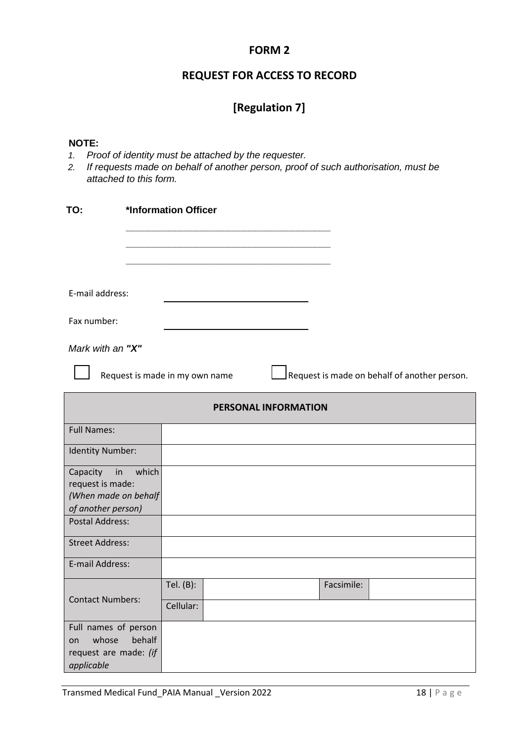### **FORM 2**

# **REQUEST FOR ACCESS TO RECORD**

# **[Regulation 7]**

#### **NOTE:**

- *1. Proof of identity must be attached by the requester.*
- *2. If requests made on behalf of another person, proof of such authorisation, must be attached to this form.*

| TO:                                      |        | *Information Officer           |                      |            |                                              |
|------------------------------------------|--------|--------------------------------|----------------------|------------|----------------------------------------------|
|                                          |        |                                |                      |            |                                              |
|                                          |        |                                |                      |            |                                              |
| E-mail address:                          |        |                                |                      |            |                                              |
| Fax number:                              |        |                                |                      |            |                                              |
| Mark with an "X"                         |        |                                |                      |            |                                              |
|                                          |        | Request is made in my own name |                      |            | Request is made on behalf of another person. |
|                                          |        |                                | PERSONAL INFORMATION |            |                                              |
| <b>Full Names:</b>                       |        |                                |                      |            |                                              |
| Identity Number:                         |        |                                |                      |            |                                              |
| in<br>Capacity                           | which  |                                |                      |            |                                              |
| request is made:<br>(When made on behalf |        |                                |                      |            |                                              |
| of another person)                       |        |                                |                      |            |                                              |
| <b>Postal Address:</b>                   |        |                                |                      |            |                                              |
| <b>Street Address:</b>                   |        |                                |                      |            |                                              |
| E-mail Address:                          |        |                                |                      |            |                                              |
|                                          |        | Tel. (B):                      |                      | Facsimile: |                                              |
| <b>Contact Numbers:</b>                  |        | Cellular:                      |                      |            |                                              |
| Full names of person                     |        |                                |                      |            |                                              |
| whose<br>on                              | behalf |                                |                      |            |                                              |
| request are made: (if<br>applicable      |        |                                |                      |            |                                              |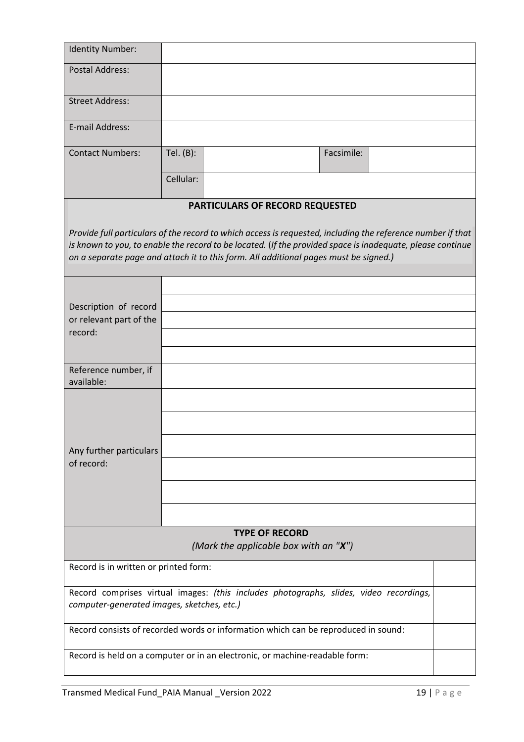| Identity Number:                           |           |                                                                                                                                                                                                                                                                                                                   |            |  |
|--------------------------------------------|-----------|-------------------------------------------------------------------------------------------------------------------------------------------------------------------------------------------------------------------------------------------------------------------------------------------------------------------|------------|--|
| <b>Postal Address:</b>                     |           |                                                                                                                                                                                                                                                                                                                   |            |  |
| <b>Street Address:</b>                     |           |                                                                                                                                                                                                                                                                                                                   |            |  |
| E-mail Address:                            |           |                                                                                                                                                                                                                                                                                                                   |            |  |
| <b>Contact Numbers:</b>                    | Tel. (B): |                                                                                                                                                                                                                                                                                                                   | Facsimile: |  |
|                                            | Cellular: |                                                                                                                                                                                                                                                                                                                   |            |  |
|                                            |           | PARTICULARS OF RECORD REQUESTED                                                                                                                                                                                                                                                                                   |            |  |
|                                            |           | Provide full particulars of the record to which access is requested, including the reference number if that<br>is known to you, to enable the record to be located. (If the provided space is inadequate, please continue<br>on a separate page and attach it to this form. All additional pages must be signed.) |            |  |
| Description of record                      |           |                                                                                                                                                                                                                                                                                                                   |            |  |
| or relevant part of the                    |           |                                                                                                                                                                                                                                                                                                                   |            |  |
| record:                                    |           |                                                                                                                                                                                                                                                                                                                   |            |  |
|                                            |           |                                                                                                                                                                                                                                                                                                                   |            |  |
| Reference number, if                       |           |                                                                                                                                                                                                                                                                                                                   |            |  |
| available:                                 |           |                                                                                                                                                                                                                                                                                                                   |            |  |
| Any further particulars                    |           |                                                                                                                                                                                                                                                                                                                   |            |  |
| of record:                                 |           |                                                                                                                                                                                                                                                                                                                   |            |  |
|                                            |           |                                                                                                                                                                                                                                                                                                                   |            |  |
|                                            |           |                                                                                                                                                                                                                                                                                                                   |            |  |
|                                            |           |                                                                                                                                                                                                                                                                                                                   |            |  |
|                                            |           | <b>TYPE OF RECORD</b><br>(Mark the applicable box with an " $X$ ")                                                                                                                                                                                                                                                |            |  |
| Record is in written or printed form:      |           |                                                                                                                                                                                                                                                                                                                   |            |  |
| computer-generated images, sketches, etc.) |           | Record comprises virtual images: (this includes photographs, slides, video recordings,                                                                                                                                                                                                                            |            |  |
|                                            |           | Record consists of recorded words or information which can be reproduced in sound:                                                                                                                                                                                                                                |            |  |
|                                            |           | Record is held on a computer or in an electronic, or machine-readable form:                                                                                                                                                                                                                                       |            |  |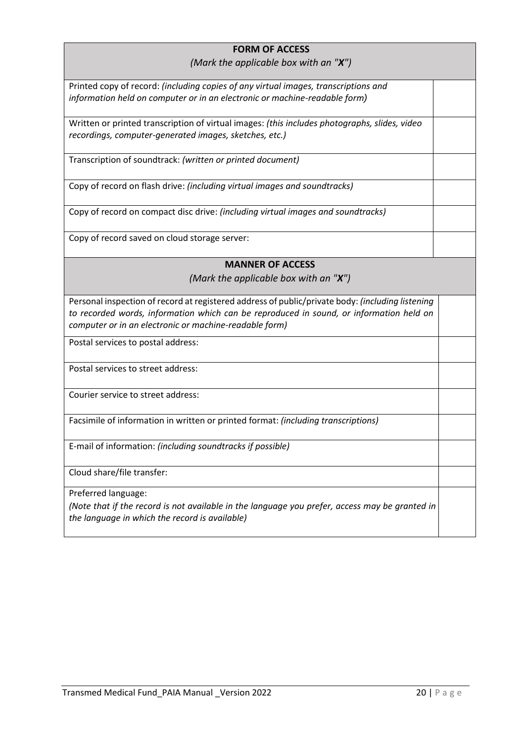# **FORM OF ACCESS**

#### *(Mark the applicable box with an "X")*

| (Mark the applicable box with an " $X$ ")                                                                                                               |  |
|---------------------------------------------------------------------------------------------------------------------------------------------------------|--|
| Printed copy of record: (including copies of any virtual images, transcriptions and                                                                     |  |
| information held on computer or in an electronic or machine-readable form)                                                                              |  |
| Written or printed transcription of virtual images: (this includes photographs, slides, video<br>recordings, computer-generated images, sketches, etc.) |  |
|                                                                                                                                                         |  |
| Transcription of soundtrack: (written or printed document)                                                                                              |  |
| Copy of record on flash drive: (including virtual images and soundtracks)                                                                               |  |
| Copy of record on compact disc drive: (including virtual images and soundtracks)                                                                        |  |
| Copy of record saved on cloud storage server:                                                                                                           |  |
| <b>MANNER OF ACCESS</b>                                                                                                                                 |  |
| (Mark the applicable box with an " $X$ ")                                                                                                               |  |
| Personal inspection of record at registered address of public/private body: (including listening                                                        |  |
| to recorded words, information which can be reproduced in sound, or information held on                                                                 |  |
| computer or in an electronic or machine-readable form)                                                                                                  |  |
| Postal services to postal address:                                                                                                                      |  |
| Postal services to street address:                                                                                                                      |  |
| Courier service to street address:                                                                                                                      |  |
| Facsimile of information in written or printed format: (including transcriptions)                                                                       |  |
| E-mail of information: (including soundtracks if possible)                                                                                              |  |
| Cloud share/file transfer:                                                                                                                              |  |
| Preferred language:                                                                                                                                     |  |
| (Note that if the record is not available in the language you prefer, access may be granted in<br>the language in which the record is available)        |  |
|                                                                                                                                                         |  |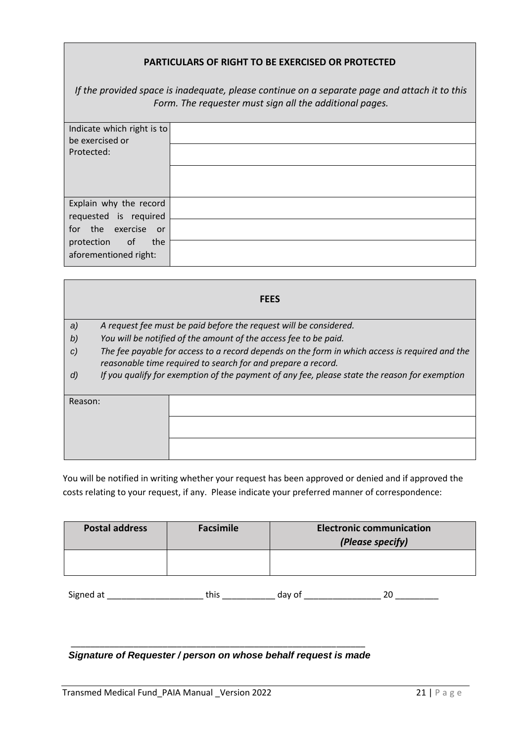#### **PARTICULARS OF RIGHT TO BE EXERCISED OR PROTECTED**

*If the provided space is inadequate, please continue on a separate page and attach it to this Form. The requester must sign all the additional pages.* 

| Indicate which right is to<br>be exercised or |  |
|-----------------------------------------------|--|
|                                               |  |
| Protected:                                    |  |
|                                               |  |
|                                               |  |
|                                               |  |
| Explain why the record                        |  |
| requested is required                         |  |
| for the exercise or                           |  |
| the<br>protection of                          |  |
| aforementioned right:                         |  |

| <b>FEES</b>   |                                                                                                                                                                |  |  |  |  |  |  |
|---------------|----------------------------------------------------------------------------------------------------------------------------------------------------------------|--|--|--|--|--|--|
| a)            | A request fee must be paid before the request will be considered.                                                                                              |  |  |  |  |  |  |
| b)            | You will be notified of the amount of the access fee to be paid.                                                                                               |  |  |  |  |  |  |
| $\mathcal{C}$ | The fee payable for access to a record depends on the form in which access is required and the<br>reasonable time required to search for and prepare a record. |  |  |  |  |  |  |
| d)            | If you qualify for exemption of the payment of any fee, please state the reason for exemption                                                                  |  |  |  |  |  |  |
| Reason:       |                                                                                                                                                                |  |  |  |  |  |  |
|               |                                                                                                                                                                |  |  |  |  |  |  |
|               |                                                                                                                                                                |  |  |  |  |  |  |

You will be notified in writing whether your request has been approved or denied and if approved the costs relating to your request, if any. Please indicate your preferred manner of correspondence:

| <b>Postal address</b> | Facsimile | <b>Electronic communication</b><br>(Please specify) |
|-----------------------|-----------|-----------------------------------------------------|
|                       |           |                                                     |

| $\overline{\phantom{a}}$<br>-Signed at |  |  |
|----------------------------------------|--|--|
|                                        |  |  |

#### \_\_\_\_\_\_\_\_\_\_\_\_\_\_\_\_\_\_\_\_\_\_\_\_\_\_\_\_\_\_\_\_\_\_\_\_\_\_\_\_\_\_\_\_\_\_\_\_\_\_\_\_\_\_\_\_\_\_\_\_\_ *Signature of Requester / person on whose behalf request is made*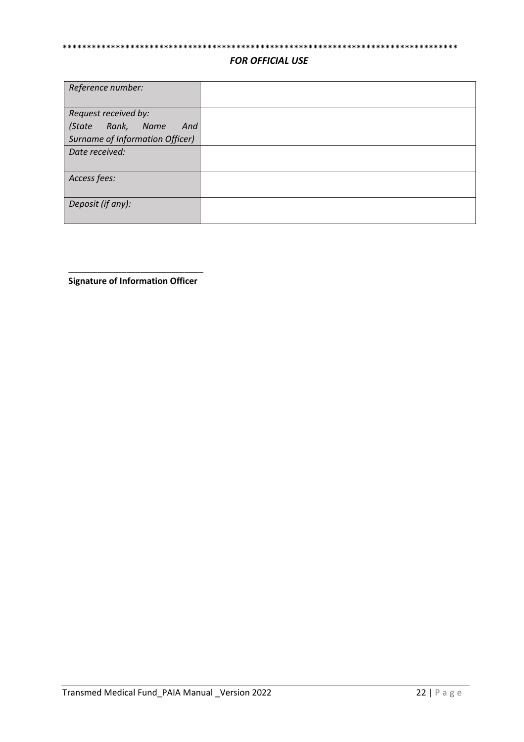# \*\*\*\*\*\*\*\*\*\*\*\*\*\*\*\*\*\*\*\*\*\*\*\*\*\*\*\*\*\*\*\*\*\*\*\*\*\*\*\*\*\*\*\*\*\*\*\*\*\*\*\*\*\*\*\*\*\*\*\*\*\*\*\*\*\*\*\*\*\*\*\*\*\*\*\*\*\*\*\*\*\*

#### *FOR OFFICIAL USE*

| Reference number:               |  |
|---------------------------------|--|
| Request received by:            |  |
| (State Rank, Name<br>And        |  |
| Surname of Information Officer) |  |
| Date received:                  |  |
| Access fees:                    |  |
| Deposit (if any):               |  |

\_\_\_\_\_\_\_\_\_\_\_\_\_\_\_\_\_\_\_\_\_\_\_\_\_\_\_\_ **Signature of Information Officer**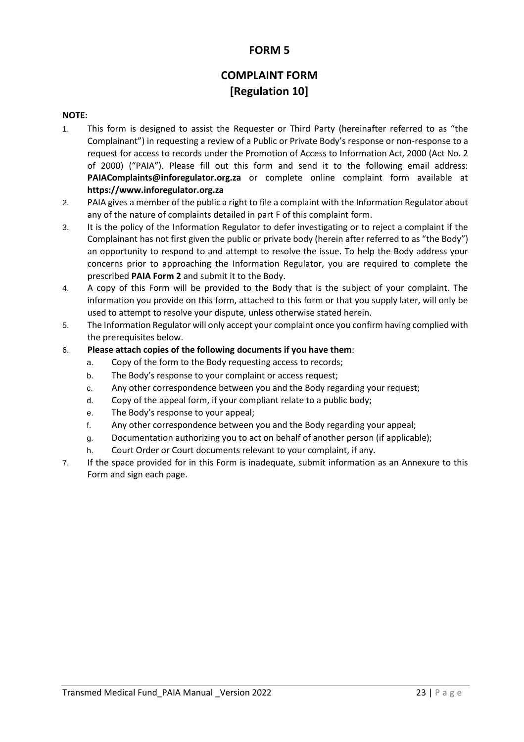## **FORM 5**

# **COMPLAINT FORM [Regulation 10]**

#### **NOTE:**

- 1. This form is designed to assist the Requester or Third Party (hereinafter referred to as "the Complainant") in requesting a review of a Public or Private Body's response or non-response to a request for access to records under the Promotion of Access to Information Act, 2000 (Act No. 2 of 2000) ("PAIA"). Please fill out this form and send it to the following email address: **PAIAComplaints@inforegulator.org.za** or complete online complaint form available a[t](https://www.justice.gov.za/inforeg/) **[https://www.inforegulator.org.za](https://www.inforegulator.org.za/)**
- 2. PAIA gives a member of the public a right to file a complaint with the Information Regulator about any of the nature of complaints detailed in part F of this complaint form.
- 3. It is the policy of the Information Regulator to defer investigating or to reject a complaint if the Complainant has not first given the public or private body (herein after referred to as "the Body") an opportunity to respond to and attempt to resolve the issue. To help the Body address your concerns prior to approaching the Information Regulator, you are required to complete the prescribed **PAIA Form 2** and submit it to the Body.
- 4. A copy of this Form will be provided to the Body that is the subject of your complaint. The information you provide on this form, attached to this form or that you supply later, will only be used to attempt to resolve your dispute, unless otherwise stated herein.
- 5. The Information Regulator will only accept your complaint once you confirm having complied with the prerequisites below.

#### 6. **Please attach copies of the following documents if you have them**:

- a. Copy of the form to the Body requesting access to records;
- b. The Body's response to your complaint or access request;
- c. Any other correspondence between you and the Body regarding your request;
- d. Copy of the appeal form, if your compliant relate to a public body;
- e. The Body's response to your appeal;
- f. Any other correspondence between you and the Body regarding your appeal;
- g. Documentation authorizing you to act on behalf of another person (if applicable);
- h. Court Order or Court documents relevant to your complaint, if any.
- 7. If the space provided for in this Form is inadequate, submit information as an Annexure to this Form and sign each page.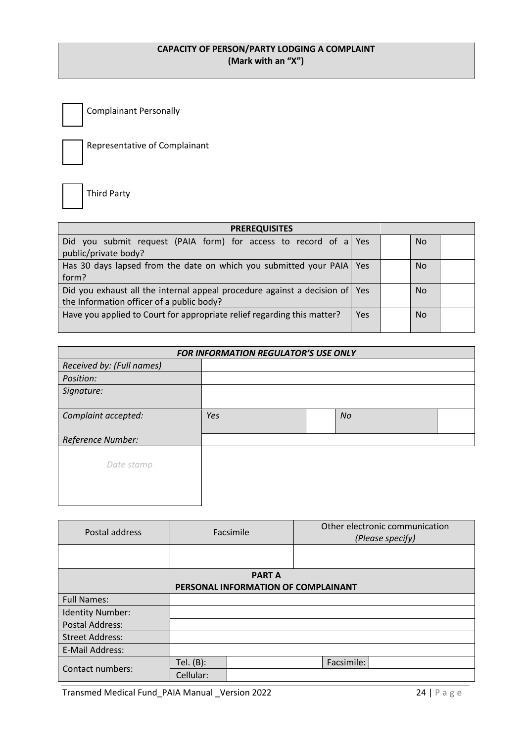#### **CAPACITY OF PERSON/PARTY LODGING A COMPLAINT (Mark with an "X")**

Complainant Personally



Representative of Complainant

Third Party

| <b>PREREQUISITES</b>                                                        |     |  |           |  |  |  |
|-----------------------------------------------------------------------------|-----|--|-----------|--|--|--|
| Did you submit request (PAIA form) for access to record of a Yes            |     |  | No.       |  |  |  |
| public/private body?                                                        |     |  |           |  |  |  |
| Has 30 days lapsed from the date on which you submitted your PAIA Yes       |     |  | <b>No</b> |  |  |  |
| form?                                                                       |     |  |           |  |  |  |
| Did you exhaust all the internal appeal procedure against a decision of Yes |     |  | No.       |  |  |  |
| the Information officer of a public body?                                   |     |  |           |  |  |  |
| Have you applied to Court for appropriate relief regarding this matter?     | Yes |  | <b>No</b> |  |  |  |
|                                                                             |     |  |           |  |  |  |

| FOR INFORMATION REGULATOR'S USE ONLY |     |  |    |  |  |
|--------------------------------------|-----|--|----|--|--|
| Received by: (Full names)            |     |  |    |  |  |
| Position:                            |     |  |    |  |  |
| Signature:                           |     |  |    |  |  |
| Complaint accepted:                  | Yes |  | No |  |  |
| Reference Number:                    |     |  |    |  |  |
| Date stamp                           |     |  |    |  |  |

| Postal address                      |           | Facsimile | Other electronic communication<br>(Please specify) |  |  |  |
|-------------------------------------|-----------|-----------|----------------------------------------------------|--|--|--|
|                                     |           |           |                                                    |  |  |  |
| <b>PARTA</b>                        |           |           |                                                    |  |  |  |
| PERSONAL INFORMATION OF COMPLAINANT |           |           |                                                    |  |  |  |
| <b>Full Names:</b>                  |           |           |                                                    |  |  |  |
| <b>Identity Number:</b>             |           |           |                                                    |  |  |  |
| <b>Postal Address:</b>              |           |           |                                                    |  |  |  |
| <b>Street Address:</b>              |           |           |                                                    |  |  |  |
| E-Mail Address:                     |           |           |                                                    |  |  |  |
| Contact numbers:                    | Tel. (B): |           | Facsimile:                                         |  |  |  |
|                                     | Cellular: |           |                                                    |  |  |  |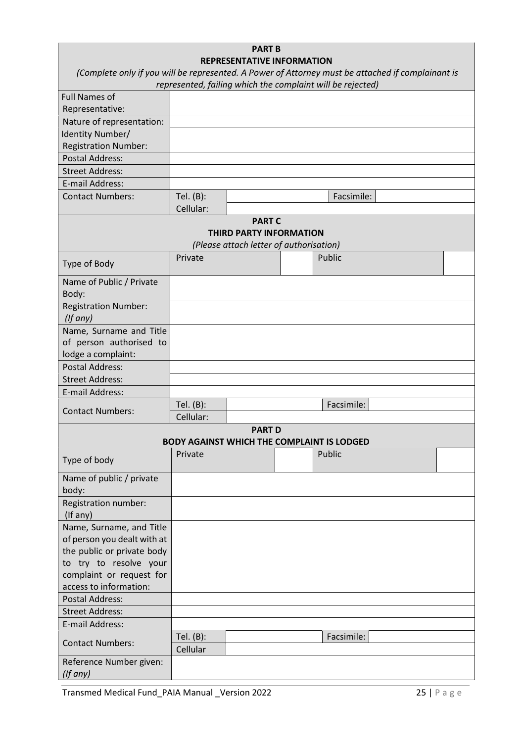| <b>PART B</b><br><b>REPRESENTATIVE INFORMATION</b><br>(Complete only if you will be represented. A Power of Attorney must be attached if complainant is |                        |                                                                                            |  |                                                            |  |  |
|---------------------------------------------------------------------------------------------------------------------------------------------------------|------------------------|--------------------------------------------------------------------------------------------|--|------------------------------------------------------------|--|--|
|                                                                                                                                                         |                        |                                                                                            |  | represented, failing which the complaint will be rejected) |  |  |
| <b>Full Names of</b>                                                                                                                                    |                        |                                                                                            |  |                                                            |  |  |
| Representative:                                                                                                                                         |                        |                                                                                            |  |                                                            |  |  |
| Nature of representation:                                                                                                                               |                        |                                                                                            |  |                                                            |  |  |
| Identity Number/                                                                                                                                        |                        |                                                                                            |  |                                                            |  |  |
| <b>Registration Number:</b>                                                                                                                             |                        |                                                                                            |  |                                                            |  |  |
| <b>Postal Address:</b>                                                                                                                                  |                        |                                                                                            |  |                                                            |  |  |
| <b>Street Address:</b>                                                                                                                                  |                        |                                                                                            |  |                                                            |  |  |
| E-mail Address:                                                                                                                                         |                        |                                                                                            |  |                                                            |  |  |
| <b>Contact Numbers:</b>                                                                                                                                 | Tel. (B):              |                                                                                            |  | Facsimile:                                                 |  |  |
|                                                                                                                                                         | Cellular:              |                                                                                            |  |                                                            |  |  |
|                                                                                                                                                         |                        | <b>PART C</b><br><b>THIRD PARTY INFORMATION</b><br>(Please attach letter of authorisation) |  |                                                            |  |  |
| Type of Body                                                                                                                                            | Private                |                                                                                            |  | Public                                                     |  |  |
| Name of Public / Private<br>Body:                                                                                                                       |                        |                                                                                            |  |                                                            |  |  |
| <b>Registration Number:</b><br>$($ lf any $)$                                                                                                           |                        |                                                                                            |  |                                                            |  |  |
| Name, Surname and Title<br>of person authorised to<br>lodge a complaint:                                                                                |                        |                                                                                            |  |                                                            |  |  |
| <b>Postal Address:</b>                                                                                                                                  |                        |                                                                                            |  |                                                            |  |  |
| <b>Street Address:</b>                                                                                                                                  |                        |                                                                                            |  |                                                            |  |  |
| E-mail Address:                                                                                                                                         |                        |                                                                                            |  |                                                            |  |  |
| <b>Contact Numbers:</b>                                                                                                                                 | Tel. (B):<br>Cellular: |                                                                                            |  | Facsimile:                                                 |  |  |
|                                                                                                                                                         |                        | <b>PART D</b>                                                                              |  |                                                            |  |  |
|                                                                                                                                                         |                        |                                                                                            |  | <b>BODY AGAINST WHICH THE COMPLAINT IS LODGED</b>          |  |  |
| Type of body                                                                                                                                            | Private                |                                                                                            |  | Public                                                     |  |  |
| Name of public / private<br>body:                                                                                                                       |                        |                                                                                            |  |                                                            |  |  |
| Registration number:<br>(If any)                                                                                                                        |                        |                                                                                            |  |                                                            |  |  |
| Name, Surname, and Title<br>of person you dealt with at<br>the public or private body<br>to try to resolve your                                         |                        |                                                                                            |  |                                                            |  |  |
| complaint or request for<br>access to information:                                                                                                      |                        |                                                                                            |  |                                                            |  |  |
| <b>Postal Address:</b>                                                                                                                                  |                        |                                                                                            |  |                                                            |  |  |
| <b>Street Address:</b>                                                                                                                                  |                        |                                                                                            |  |                                                            |  |  |
| E-mail Address:                                                                                                                                         |                        |                                                                                            |  |                                                            |  |  |
|                                                                                                                                                         | Tel. (B):              |                                                                                            |  | Facsimile:                                                 |  |  |
| <b>Contact Numbers:</b>                                                                                                                                 | Cellular               |                                                                                            |  |                                                            |  |  |
| Reference Number given:<br>(If any)                                                                                                                     |                        |                                                                                            |  |                                                            |  |  |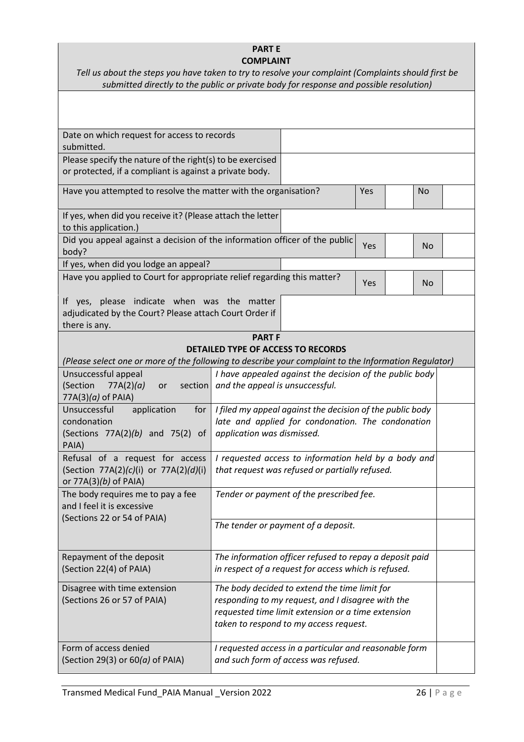#### **PART E COMPLAINT**

| Tell us about the steps you have taken to try to resolve your complaint (Complaints should first be |  |
|-----------------------------------------------------------------------------------------------------|--|
| submitted directly to the public or private body for response and possible resolution)              |  |

| Date on which request for access to records                                                                            |                                                                                                                                                                                                    |     |           |  |  |
|------------------------------------------------------------------------------------------------------------------------|----------------------------------------------------------------------------------------------------------------------------------------------------------------------------------------------------|-----|-----------|--|--|
| submitted.                                                                                                             |                                                                                                                                                                                                    |     |           |  |  |
| Please specify the nature of the right(s) to be exercised                                                              |                                                                                                                                                                                                    |     |           |  |  |
| or protected, if a compliant is against a private body.                                                                |                                                                                                                                                                                                    |     |           |  |  |
| Have you attempted to resolve the matter with the organisation?                                                        |                                                                                                                                                                                                    | Yes | <b>No</b> |  |  |
| If yes, when did you receive it? (Please attach the letter<br>to this application.)                                    |                                                                                                                                                                                                    |     |           |  |  |
| Did you appeal against a decision of the information officer of the public<br>body?                                    |                                                                                                                                                                                                    | Yes | <b>No</b> |  |  |
| If yes, when did you lodge an appeal?                                                                                  |                                                                                                                                                                                                    |     |           |  |  |
| Have you applied to Court for appropriate relief regarding this matter?<br>Yes                                         |                                                                                                                                                                                                    |     | <b>No</b> |  |  |
| If yes, please indicate when was the matter<br>adjudicated by the Court? Please attach Court Order if<br>there is any. |                                                                                                                                                                                                    |     |           |  |  |
|                                                                                                                        | <b>PART F</b>                                                                                                                                                                                      |     |           |  |  |
|                                                                                                                        | <b>DETAILED TYPE OF ACCESS TO RECORDS</b>                                                                                                                                                          |     |           |  |  |
| (Please select one or more of the following to describe your complaint to the Information Regulator)                   |                                                                                                                                                                                                    |     |           |  |  |
| Unsuccessful appeal<br>(Section<br>77A(2)(a)<br>or<br>$77A(3)(a)$ of PAIA)                                             | I have appealed against the decision of the public body<br>section and the appeal is unsuccessful.                                                                                                 |     |           |  |  |
| Unsuccessful<br>application<br>condonation<br>(Sections $77A(2)(b)$ and $75(2)$ of<br>PAIA)                            | for $ $ I filed my appeal against the decision of the public body<br>late and applied for condonation. The condonation<br>application was dismissed.                                               |     |           |  |  |
| Refusal of a request for access<br>(Section 77A(2)(c)(i) or 77A(2)(d)(i)<br>or 77A(3)(b) of PAIA)                      | I requested access to information held by a body and<br>that request was refused or partially refused.                                                                                             |     |           |  |  |
| The body requires me to pay a fee<br>and I feel it is excessive<br>(Sections 22 or 54 of PAIA)                         | Tender or payment of the prescribed fee.                                                                                                                                                           |     |           |  |  |
|                                                                                                                        | The tender or payment of a deposit.                                                                                                                                                                |     |           |  |  |
| Repayment of the deposit<br>(Section 22(4) of PAIA)                                                                    | The information officer refused to repay a deposit paid<br>in respect of a request for access which is refused.                                                                                    |     |           |  |  |
| Disagree with time extension<br>(Sections 26 or 57 of PAIA)                                                            | The body decided to extend the time limit for<br>responding to my request, and I disagree with the<br>requested time limit extension or a time extension<br>taken to respond to my access request. |     |           |  |  |
| Form of access denied<br>(Section 29(3) or $60(a)$ of PAIA)                                                            | I requested access in a particular and reasonable form<br>and such form of access was refused.                                                                                                     |     |           |  |  |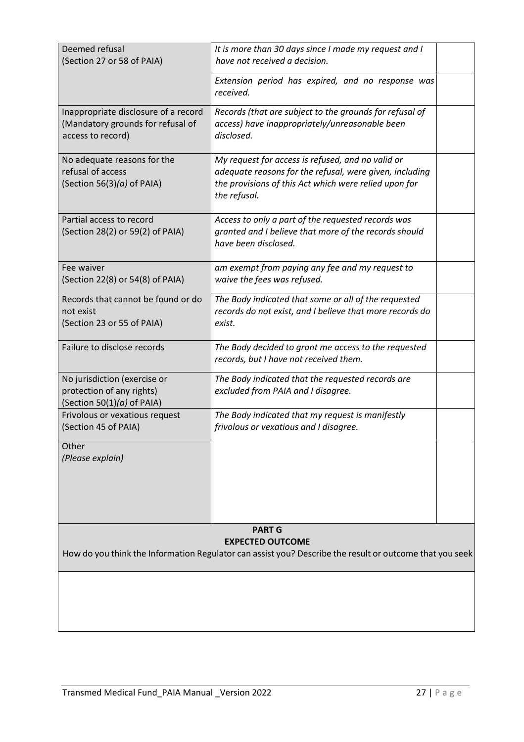| Deemed refusal<br>(Section 27 or 58 of PAIA)                                                                                       | It is more than 30 days since I made my request and I<br>have not received a decision.                                                                                                |  |  |
|------------------------------------------------------------------------------------------------------------------------------------|---------------------------------------------------------------------------------------------------------------------------------------------------------------------------------------|--|--|
|                                                                                                                                    | Extension period has expired, and no response was<br>received.                                                                                                                        |  |  |
| Inappropriate disclosure of a record<br>(Mandatory grounds for refusal of<br>access to record)                                     | Records (that are subject to the grounds for refusal of<br>access) have inappropriately/unreasonable been<br>disclosed.                                                               |  |  |
| No adequate reasons for the<br>refusal of access<br>(Section 56(3)( $a$ ) of PAIA)                                                 | My request for access is refused, and no valid or<br>adequate reasons for the refusal, were given, including<br>the provisions of this Act which were relied upon for<br>the refusal. |  |  |
| Partial access to record<br>(Section 28(2) or 59(2) of PAIA)                                                                       | Access to only a part of the requested records was<br>granted and I believe that more of the records should<br>have been disclosed.                                                   |  |  |
| Fee waiver<br>(Section 22(8) or 54(8) of PAIA)                                                                                     | am exempt from paying any fee and my request to<br>waive the fees was refused.                                                                                                        |  |  |
| Records that cannot be found or do<br>not exist<br>(Section 23 or 55 of PAIA)                                                      | The Body indicated that some or all of the requested<br>records do not exist, and I believe that more records do<br>exist.                                                            |  |  |
| Failure to disclose records                                                                                                        | The Body decided to grant me access to the requested<br>records, but I have not received them.                                                                                        |  |  |
| No jurisdiction (exercise or<br>protection of any rights)<br>(Section $50(1)(a)$ of PAIA)                                          | The Body indicated that the requested records are<br>excluded from PAIA and I disagree.                                                                                               |  |  |
| Frivolous or vexatious request<br>(Section 45 of PAIA)                                                                             | The Body indicated that my request is manifestly<br>frivolous or vexatious and I disagree.                                                                                            |  |  |
| Other<br>(Please explain)                                                                                                          |                                                                                                                                                                                       |  |  |
|                                                                                                                                    | <b>PART G</b>                                                                                                                                                                         |  |  |
| <b>EXPECTED OUTCOME</b><br>How do you think the Information Regulator can assist you? Describe the result or outcome that you seek |                                                                                                                                                                                       |  |  |
|                                                                                                                                    |                                                                                                                                                                                       |  |  |
|                                                                                                                                    |                                                                                                                                                                                       |  |  |